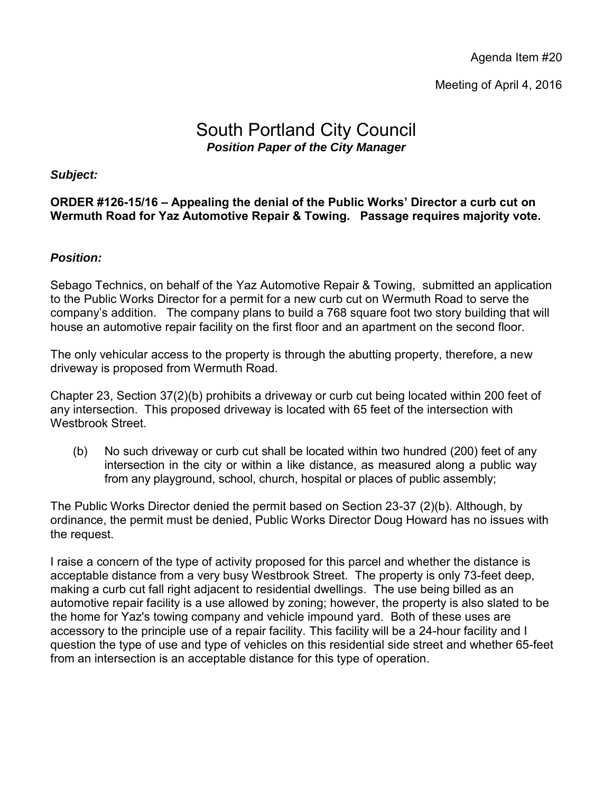Agenda Item #20

Meeting of April 4, 2016

# South Portland City Council *Position Paper of the City Manager*

#### *Subject:*

### **ORDER #126-15/16 – Appealing the denial of the Public Works' Director a curb cut on Wermuth Road for Yaz Automotive Repair & Towing. Passage requires majority vote.**

### *Position:*

Sebago Technics, on behalf of the Yaz Automotive Repair & Towing, submitted an application to the Public Works Director for a permit for a new curb cut on Wermuth Road to serve the company's addition. The company plans to build a 768 square foot two story building that will house an automotive repair facility on the first floor and an apartment on the second floor.

The only vehicular access to the property is through the abutting property, therefore, a new driveway is proposed from Wermuth Road.

Chapter 23, Section 37(2)(b) prohibits a driveway or curb cut being located within 200 feet of any intersection. This proposed driveway is located with 65 feet of the intersection with Westbrook Street.

(b) No such driveway or curb cut shall be located within two hundred (200) feet of any intersection in the city or within a like distance, as measured along a public way from any playground, school, church, hospital or places of public assembly;

The Public Works Director denied the permit based on Section 23-37 (2)(b). Although, by ordinance, the permit must be denied, Public Works Director Doug Howard has no issues with the request.

I raise a concern of the type of activity proposed for this parcel and whether the distance is acceptable distance from a very busy Westbrook Street. The property is only 73-feet deep, making a curb cut fall right adjacent to residential dwellings. The use being billed as an automotive repair facility is a use allowed by zoning; however, the property is also slated to be the home for Yaz's towing company and vehicle impound yard. Both of these uses are accessory to the principle use of a repair facility. This facility will be a 24-hour facility and I question the type of use and type of vehicles on this residential side street and whether 65-feet from an intersection is an acceptable distance for this type of operation.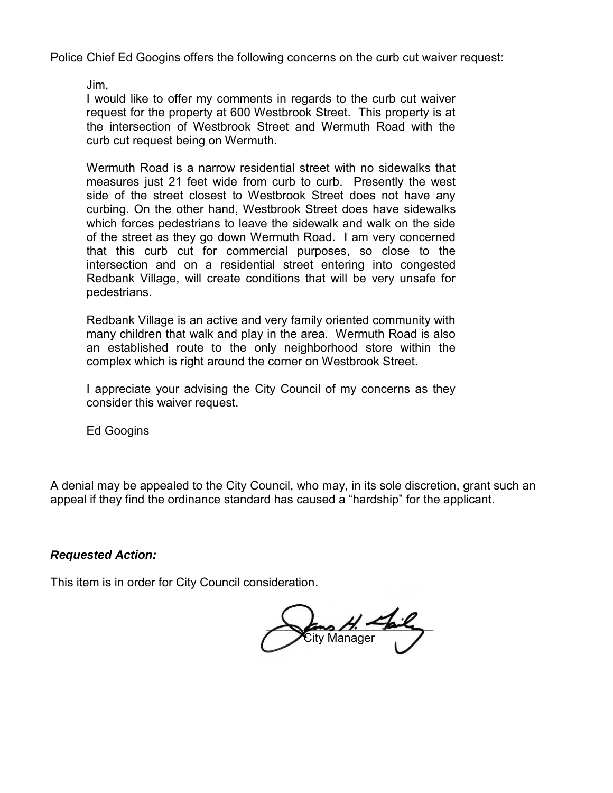Police Chief Ed Googins offers the following concerns on the curb cut waiver request:

Jim,

I would like to offer my comments in regards to the curb cut waiver request for the property at 600 Westbrook Street. This property is at the intersection of Westbrook Street and Wermuth Road with the curb cut request being on Wermuth.

Wermuth Road is a narrow residential street with no sidewalks that measures just 21 feet wide from curb to curb. Presently the west side of the street closest to Westbrook Street does not have any curbing. On the other hand, Westbrook Street does have sidewalks which forces pedestrians to leave the sidewalk and walk on the side of the street as they go down Wermuth Road. I am very concerned that this curb cut for commercial purposes, so close to the intersection and on a residential street entering into congested Redbank Village, will create conditions that will be very unsafe for pedestrians.

Redbank Village is an active and very family oriented community with many children that walk and play in the area. Wermuth Road is also an established route to the only neighborhood store within the complex which is right around the corner on Westbrook Street.

I appreciate your advising the City Council of my concerns as they consider this waiver request.

Ed Googins

A denial may be appealed to the City Council, who may, in its sole discretion, grant such an appeal if they find the ordinance standard has caused a "hardship" for the applicant.

#### *Requested Action:*

This item is in order for City Council consideration.

 $\Delta$  kms H. Hail **City Manager**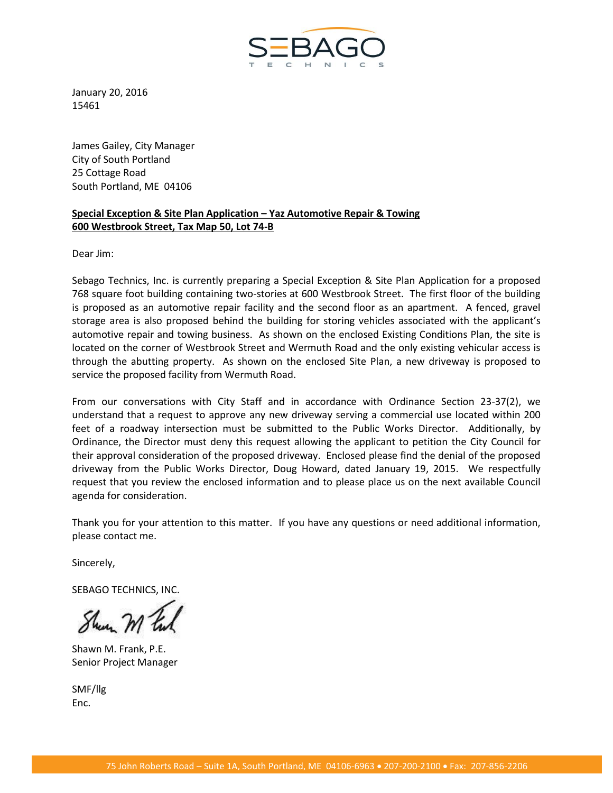

January 20, 2016 15461

James Gailey, City Manager City of South Portland 25 Cottage Road South Portland, ME 04106

#### **Special Exception & Site Plan Application – Yaz Automotive Repair & Towing 600 Westbrook Street, Tax Map 50, Lot 74-B**

Dear Jim:

Sebago Technics, Inc. is currently preparing a Special Exception & Site Plan Application for a proposed 768 square foot building containing two-stories at 600 Westbrook Street. The first floor of the building is proposed as an automotive repair facility and the second floor as an apartment. A fenced, gravel storage area is also proposed behind the building for storing vehicles associated with the applicant's automotive repair and towing business. As shown on the enclosed Existing Conditions Plan, the site is located on the corner of Westbrook Street and Wermuth Road and the only existing vehicular access is through the abutting property. As shown on the enclosed Site Plan, a new driveway is proposed to service the proposed facility from Wermuth Road.

From our conversations with City Staff and in accordance with Ordinance Section 23-37(2), we understand that a request to approve any new driveway serving a commercial use located within 200 feet of a roadway intersection must be submitted to the Public Works Director. Additionally, by Ordinance, the Director must deny this request allowing the applicant to petition the City Council for their approval consideration of the proposed driveway. Enclosed please find the denial of the proposed driveway from the Public Works Director, Doug Howard, dated January 19, 2015. We respectfully request that you review the enclosed information and to please place us on the next available Council agenda for consideration.

Thank you for your attention to this matter. If you have any questions or need additional information, please contact me.

Sincerely,

SEBAGO TECHNICS, INC.

Sherry M

Shawn M. Frank, P.E. Senior Project Manager

SMF/llg Enc.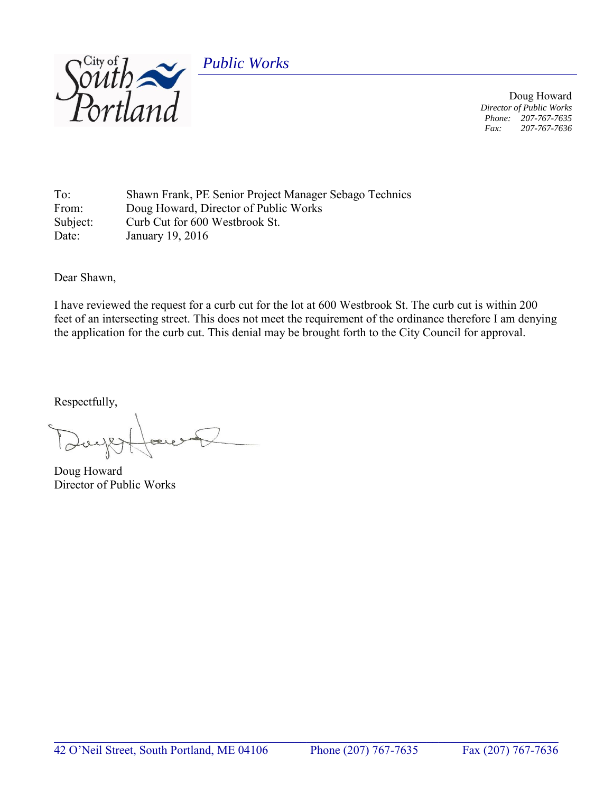

*Public Works* 

Doug Howard *Director of Public Works Phone: 207-767-7635 Fax: 207-767-7636*

To: Shawn Frank, PE Senior Project Manager Sebago Technics From: Doug Howard, Director of Public Works Subject: Curb Cut for 600 Westbrook St. Date: January 19, 2016

Dear Shawn,

I have reviewed the request for a curb cut for the lot at 600 Westbrook St. The curb cut is within 200 feet of an intersecting street. This does not meet the requirement of the ordinance therefore I am denying the application for the curb cut. This denial may be brought forth to the City Council for approval.

Respectfully,

Doyl

Doug Howard Director of Public Works

 $\_$  ,  $\_$  ,  $\_$  ,  $\_$  ,  $\_$  ,  $\_$  ,  $\_$  ,  $\_$  ,  $\_$  ,  $\_$  ,  $\_$  ,  $\_$  ,  $\_$  ,  $\_$  ,  $\_$  ,  $\_$  ,  $\_$  ,  $\_$  ,  $\_$  ,  $\_$  ,  $\_$  ,  $\_$  ,  $\_$  ,  $\_$  ,  $\_$  ,  $\_$  ,  $\_$  ,  $\_$  ,  $\_$  ,  $\_$  ,  $\_$  ,  $\_$  ,  $\_$  ,  $\_$  ,  $\_$  ,  $\_$  ,  $\_$  ,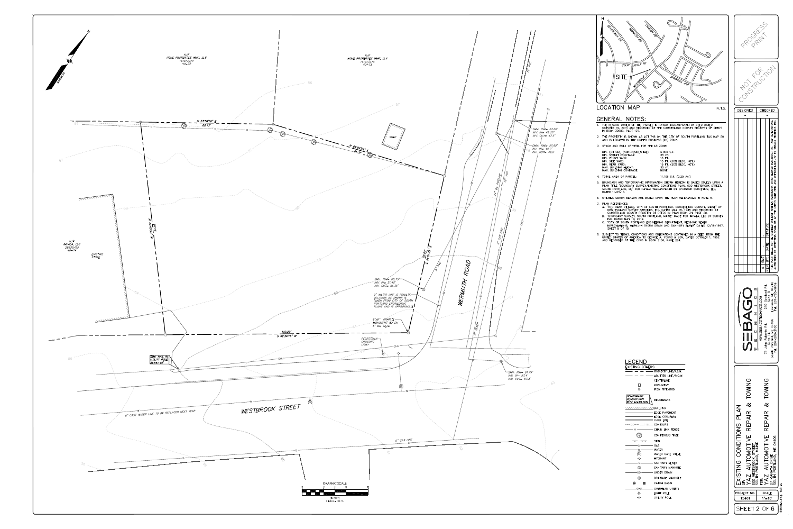



UTILITY POLE

 $-$ O-

SHEET 2 OF 6

 $15461$   $1"=10'$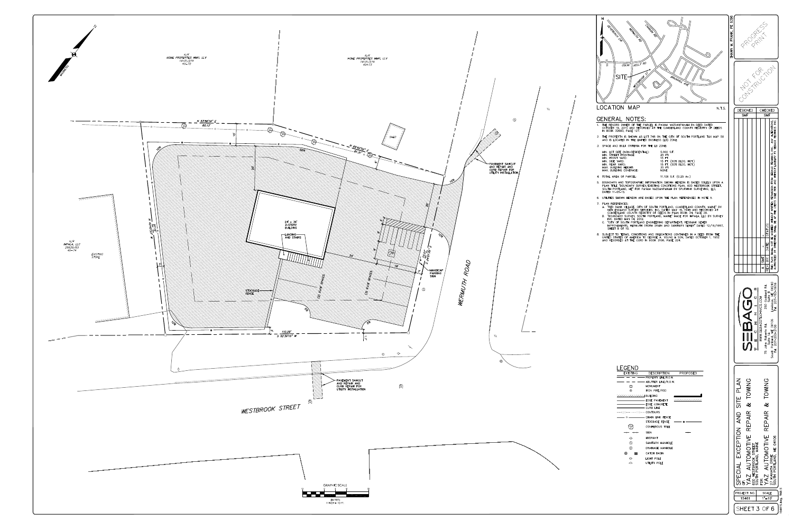



| ∍                             | PROPERTY LINE/R.O.W. |   |
|-------------------------------|----------------------|---|
|                               | ABUTTER LINE/R.O.W.  |   |
| ⊡                             | <b>MONUMENT</b>      |   |
| ⊚                             | IRON PIPE/ROD        |   |
| /////////////// BUILDING      |                      |   |
|                               | - EDGE PAVEMENT      |   |
|                               | - EDGE CONCRETE      |   |
|                               |                      |   |
| $---120------118---$ CONTOURS |                      |   |
| ∩                             | CHAIN LINK FENCE     |   |
|                               | STOCKADE FENCE       | о |
|                               | CONIFEROUS TREE      |   |
|                               | <b>SIGN</b>          |   |
| -9-                           | <b>HYDRANT</b>       |   |
| $\circledS$                   | SANITARY MANHOLE     |   |
| ⊚                             | DRAINAGE MANHOLE     |   |
| ⇔<br>▤                        | <b>CATCH BASIN</b>   |   |
| ↻                             | LIGHT POLE           |   |
|                               | <b>UTILITY POLE</b>  |   |

EXCEPTION **JTOMOTIVE**<br>OOK STREET<br>LAND, MAINE **TOMOTIVE** SPECIAL<br>
SF:<br>
VA 7 AUT<sub>I</sub><br>ATA DRI<br>PORTLAN **AU**<br>STBRO<br>PORTL N > E **SCALE**  $PROJECT NO.$  $15461$  $1"=10'$ SHEET 3 OF 6

**HIS** 

**QND** 

 $\infty$ 

REPAIR

 $\infty$ 

**EPAIR** 

 $\alpha$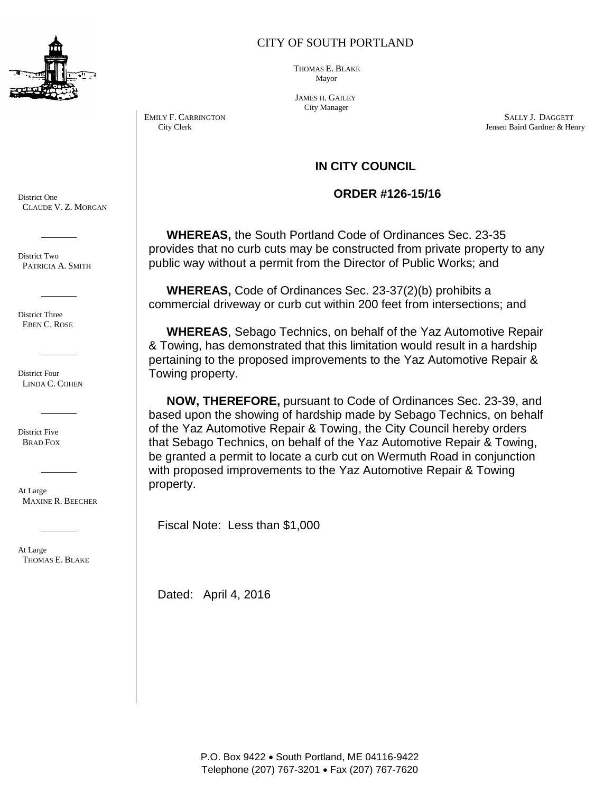

CITY OF SOUTH PORTLAND

 THOMAS E. BLAKE Mayor

 JAMES H. GAILEY City Manager

EMILY F. CARRINGTON SALLY J. DAGGETT City Clerk Jensen Baird Gardner & Henry

## **IN CITY COUNCIL**

### **ORDER #126-15/16**

**WHEREAS,** the South Portland Code of Ordinances Sec. 23-35 provides that no curb cuts may be constructed from private property to any public way without a permit from the Director of Public Works; and

**WHEREAS,** Code of Ordinances Sec. 23-37(2)(b) prohibits a commercial driveway or curb cut within 200 feet from intersections; and

**WHEREAS**, Sebago Technics, on behalf of the Yaz Automotive Repair & Towing, has demonstrated that this limitation would result in a hardship pertaining to the proposed improvements to the Yaz Automotive Repair & Towing property.

**NOW, THEREFORE,** pursuant to Code of Ordinances Sec. 23-39, and based upon the showing of hardship made by Sebago Technics, on behalf of the Yaz Automotive Repair & Towing, the City Council hereby orders that Sebago Technics, on behalf of the Yaz Automotive Repair & Towing, be granted a permit to locate a curb cut on Wermuth Road in conjunction with proposed improvements to the Yaz Automotive Repair & Towing property.

Fiscal Note: Less than \$1,000

Dated: April 4, 2016

CLAUDE V. Z. MORGAN

District One

District Two PATRICIA A. SMITH

District Three EBEN C. ROSE

District Four LINDA C. COHEN

District Five BRAD FOX

At Large MAXINE R. BEECHER

At Large THOMAS E. BLAKE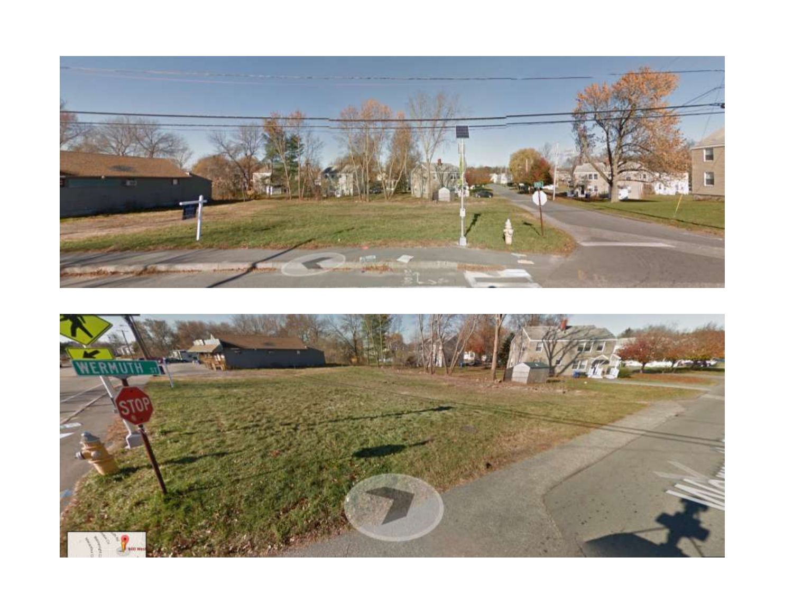